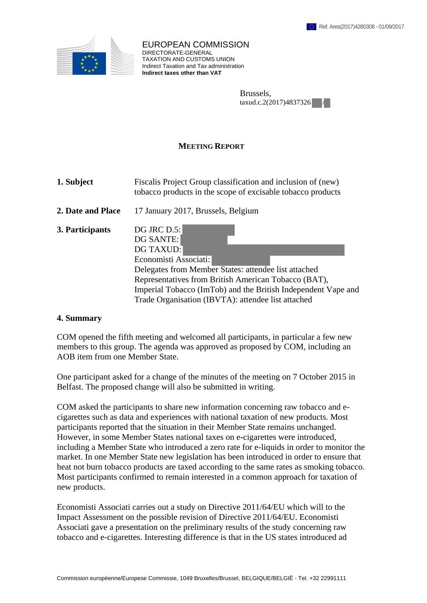

EUROPEAN COMMISSION DIRECTORATE-GENERAL TAXATION AND CUSTOMS UNION Indirect Taxation and Tax administration **Indirect taxes other than VAT**

| Brussels,              |  |
|------------------------|--|
| taxud.c.2(2017)4837326 |  |

## **MEETING REPORT**

**1. Subject** Fiscalis Project Group classification and inclusion of (new) tobacco products in the scope of excisable tobacco products

- **2. Date and Place** 17 January 2017, Brussels, Belgium
- **3. Participants** DG JRC D.5:

DG SANTE: DG TAXUD: Economisti Associati: Delegates from Member States: attendee list attached Representatives from British American Tobacco (BAT), Imperial Tobacco (ImTob) and the British Independent Vape and Trade Organisation (IBVTA): attendee list attached

## **4. Summary**

COM opened the fifth meeting and welcomed all participants, in particular a few new members to this group. The agenda was approved as proposed by COM, including an AOB item from one Member State.

One participant asked for a change of the minutes of the meeting on 7 October 2015 in Belfast. The proposed change will also be submitted in writing.

COM asked the participants to share new information concerning raw tobacco and ecigarettes such as data and experiences with national taxation of new products. Most participants reported that the situation in their Member State remains unchanged. However, in some Member States national taxes on e-cigarettes were introduced, including a Member State who introduced a zero rate for e-liquids in order to monitor the market. In one Member State new legislation has been introduced in order to ensure that heat not burn tobacco products are taxed according to the same rates as smoking tobacco. Most participants confirmed to remain interested in a common approach for taxation of new products.

Economisti Associati carries out a study on Directive 2011/64/EU which will to the Impact Assessment on the possible revision of Directive 2011/64/EU. Economisti Associati gave a presentation on the preliminary results of the study concerning raw tobacco and e-cigarettes. Interesting difference is that in the US states introduced ad